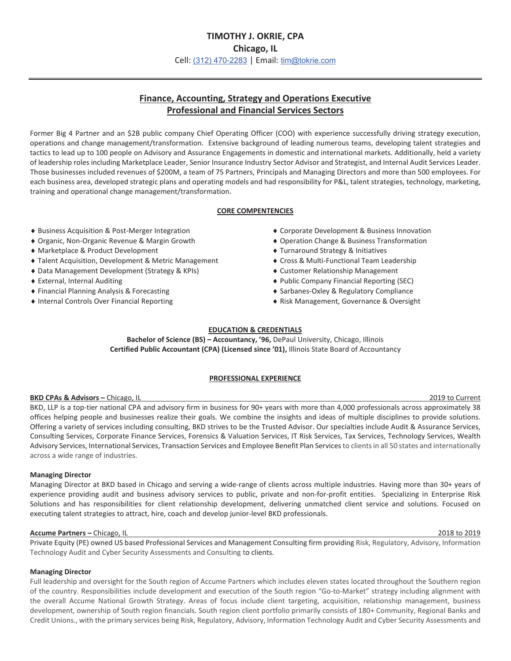# **Finance, Accounting, Strategy and Operations Executive Professional and Financial Services Sectors**

Former Big 4 Partner and an \$2B public company Chief Operating Officer (COO) with experience successfully driving strategy execution, operations and change management/transformation. Extensive background of leading numerous teams, developing talent strategies and tactics to lead up to 100 people on Advisory and Assurance Engagements in domestic and international markets. Additionally, held a variety of leadership roles including Marketplace Leader, Senior Insurance Industry Sector Advisor and Strategist, and Internal Audit Services Leader. Those businesses included revenues of \$200M, a team of 75 Partners, Principals and Managing Directors and more than 500 employees. For each business area, developed strategic plans and operating models and had responsibility for P&L, talent strategies, technology, marketing, training and operational change management/transformation.

# **CORE COMPENTENCIES**

- ◆ Business Acquisition & Post-Merger Integration
- ◆ Organic, Non-Organic Revenue & Margin Growth
- ◆ Marketplace & Product Development
- ◆ Talent Acquisition, Development & Metric Management
- ◆ Data Management Development (Strategy & KPIs)
- ◆ External, Internal Auditing
- ◆ Financial Planning Analysis & Forecasting
- $\bullet$  Internal Controls Over Financial Reporting
- ◆ Corporate Development & Business Innovation
- ◆ Operation Change & Business Transformation
- ◆ Turnaround Strategy & Initiatives
- $\bullet$  Cross & Multi-Functional Team Leadership
- ◆ Customer Relationship Management
- ◆ Public Company Financial Reporting (SEC)
- ◆ Sarbanes-Oxley & Regulatory Compliance
- ◆ Risk Management, Governance & Oversight

# **EDUCATION & CREDENTIALS**

**Bachelor of Science (BS) – Accountancy, '96,** DePaul University, Chicago, Illinois **Certified Public Accountant (CPA) (Licensed since '01),** Illinois State Board of Accountancy

# **PROFESSIONAL EXPERIENCE**

### **BKD CPAs & Advisors – Chicago, IL** 2019 to Current 2019 to Current 2019 to Current

BKD, LLP is a top-tier national CPA and advisory firm in business for 90+ years with more than 4,000 professionals across approximately 38 offices helping people and businesses realize their goals. We combine the insights and ideas of multiple disciplines to provide solutions. Offering a variety of services including consulting, BKD strives to be the Trusted Advisor. Our specialties include Audit & Assurance Services, Consulting Services, Corporate Finance Services, Forensics & Valuation Services, IT Risk Services, Tax Services, Technology Services, Wealth Advisory Services, International Services, Transaction Services and Employee Benefit Plan Services to clients in all 50 states and internationally across a wide range of industries.

### **Managing Director**

Managing Director at BKD based in Chicago and serving a wide-range of clients across multiple industries. Having more than 30+ years of experience providing audit and business advisory services to public, private and non-for-profit entities. Specializing in Enterprise Risk Solutions and has responsibilities for client relationship development, delivering unmatched client service and solutions. Focused on executing talent strategies to attract, hire, coach and develop junior-level BKD professionals.

### **Accume Partners –** Chicago, IL 2018 to 2019

Private Equity (PE) owned US based Professional Services and Management Consulting firm providing Risk, Regulatory, Advisory, Information Technology Audit and Cyber Security Assessments and Consulting to clients.

### **Managing Director**

Full leadership and oversight for the South region of Accume Partners which includes eleven states located throughout the Southern region of the country. Responsibilities include development and execution of the South region "Go-to-Market" strategy including alignment with the overall Accume National Growth Strategy. Areas of focus include client targeting, acquisition, relationship management, business development, ownership of South region financials. South region client portfolio primarily consists of 180+ Community, Regional Banks and Credit Unions., with the primary services being Risk, Regulatory, Advisory, Information Technology Audit and Cyber Security Assessments and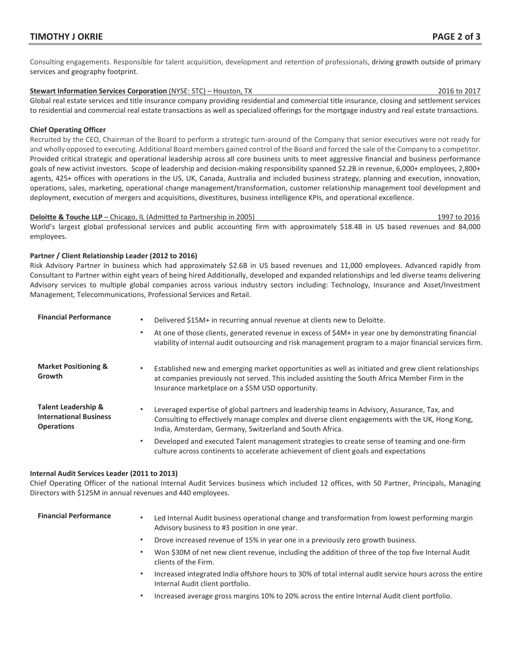Consulting engagements. Responsible for talent acquisition, development and retention of professionals, driving growth outside of primary services and geography footprint.

### **Stewart Information Services Corporation** (NYSE: STC) – Houston, TX 2016 to 2017

Global real estate services and title insurance company providing residential and commercial title insurance, closing and settlement services to residential and commercial real estate transactions as well as specialized offerings for the mortgage industry and real estate transactions.

# **Chief Operating Officer**

Recruited by the CEO, Chairman of the Board to perform a strategic turn-around of the Company that senior executives were not ready for and wholly opposed to executing. Additional Board members gained control of the Board and forced the sale of the Company to a competitor. Provided critical strategic and operational leadership across all core business units to meet aggressive financial and business performance goals of new activist investors. Scope of leadership and decision-making responsibility spanned \$2.2B in revenue, 6,000+ employees, 2,800+ agents, 425+ offices with operations in the US, UK, Canada, Australia and included business strategy, planning and execution, innovation, operations, sales, marketing, operational change management/transformation, customer relationship management tool development and deployment, execution of mergers and acquisitions, divestitures, business intelligence KPIs, and operational excellence.

### **Deloitte & Touche LLP** – Chicago, IL (Admitted to Partnership in 2005) 1997 to 2016

World's largest global professional services and public accounting firm with approximately \$18.4B in US based revenues and 84,000 employees.

# **Partner / Client Relationship Leader (2012 to 2016)**

Risk Advisory Partner in business which had approximately \$2.6B in US based revenues and 11,000 employees. Advanced rapidly from Consultant to Partner within eight years of being hired Additionally, developed and expanded relationships and led diverse teams delivering Advisory services to multiple global companies across various industry sectors including: Technology, Insurance and Asset/Investment Management, Telecommunications, Professional Services and Retail.

| <b>Financial Performance</b>                                                         | Delivered \$15M+ in recurring annual revenue at clients new to Deloitte.<br>At one of those clients, generated revenue in excess of \$4M+ in year one by demonstrating financial<br>viability of internal audit outsourcing and risk management program to a major financial services firm. |
|--------------------------------------------------------------------------------------|---------------------------------------------------------------------------------------------------------------------------------------------------------------------------------------------------------------------------------------------------------------------------------------------|
| <b>Market Positioning &amp;</b><br>Growth                                            | Established new and emerging market opportunities as well as initiated and grew client relationships<br>at companies previously not served. This included assisting the South Africa Member Firm in the<br>Insurance marketplace on a \$5M USD opportunity.                                 |
| <b>Talent Leadership &amp;</b><br><b>International Business</b><br><b>Operations</b> | Leveraged expertise of global partners and leadership teams in Advisory, Assurance, Tax, and<br>Consulting to effectively manage complex and diverse client engagements with the UK, Hong Kong,<br>India, Amsterdam, Germany, Switzerland and South Africa.                                 |
|                                                                                      | Developed and executed Talent management strategies to create sense of teaming and one-firm<br>$\blacksquare$<br>culture across continents to accelerate achievement of client goals and expectations                                                                                       |

### **Internal Audit Services Leader (2011 to 2013)**

Chief Operating Officer of the national Internal Audit Services business which included 12 offices, with 50 Partner, Principals, Managing Directors with \$125M in annual revenues and 440 employees.

- Financial Performance **·** Led Internal Audit business operational change and transformation from lowest performing margin Advisory business to #3 position in one year.
	- Drove increased revenue of 15% in year one in a previously zero growth business.
	- Won \$30M of net new client revenue, including the addition of three of the top five Internal Audit clients of the Firm.
	- Increased integrated India offshore hours to 30% of total internal audit service hours across the entire Internal Audit client portfolio.
	- Increased average gross margins 10% to 20% across the entire Internal Audit client portfolio.